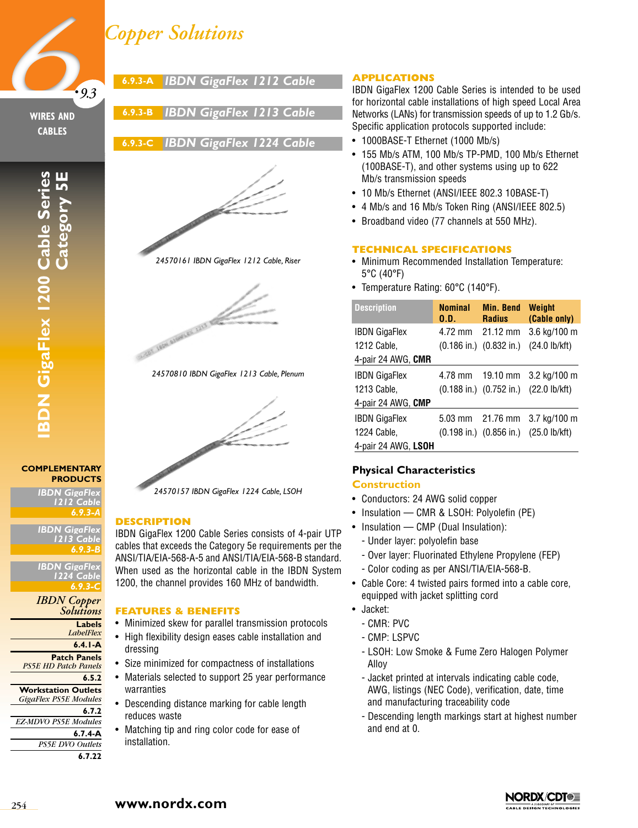# *Copper Solutions*



## **WIRES AND CABLES**

**IBDN GigaFlex 1200 Cable Series Category 5E**

Category 51

**BDN GigaFlex 1200 Cable Series** 

**6.9.3-B** *IBDN GigaFlex 1213 Cable*

**6.9.3-A** *IBDN GigaFlex 1212 Cable*

# **6.9.3-C** *IBDN GigaFlex 1224 Cable*



*24570161 IBDN GigaFlex 1212 Cable, Riser*



*24570810 IBDN GigaFlex 1213 Cable, Plenum*



**COMPLEMENTARY PRODUCTS**

*IBDN GigaFlex 1212 Cable 6.9.3-A*

**IBDN GigaFl** *1213 Cable 6.9.3-B*

*IBDN GigaFlex 1224 Cable 6.9.3-C*

# *IBDN Copper Solutions*

**Labels**

**6.7.22**

*LabelFlex*

**6.4.1-A**

- **Patch Panels** *PS5E HD Patch Panels*
- **6.5.2**
- **Workstation Outlets** *GigaFlex PS5E Modules*
- **6.7.2** *EZ-MDVO PS5E Modules* **6.7.4-A** *PS5E DVO Outlets*

# 201 LESS ANNELES, LUIS RD



*24570157 IBDN GigaFlex 1224 Cable, LSOH*

# **DESCRIPTION**

IBDN GigaFlex 1200 Cable Series consists of 4-pair UTP cables that exceeds the Category 5e requirements per the ANSI/TIA/EIA-568-A-5 and ANSI/TIA/EIA-568-B standard. When used as the horizontal cable in the IBDN System 1200, the channel provides 160 MHz of bandwidth.

### **FEATURES & BENEFITS**

- Minimized skew for parallel transmission protocols
- High flexibility design eases cable installation and dressing
- Size minimized for compactness of installations
- Materials selected to support 25 year performance warranties
- Descending distance marking for cable length reduces waste
- Matching tip and ring color code for ease of installation.

# **APPLICATIONS**

IBDN GigaFlex 1200 Cable Series is intended to be used for horizontal cable installations of high speed Local Area Networks (LANs) for transmission speeds of up to 1.2 Gb/s. Specific application protocols supported include:

- 1000BASE-T Ethernet (1000 Mb/s)
- 155 Mb/s ATM, 100 Mb/s TP-PMD, 100 Mb/s Ethernet (100BASE-T), and other systems using up to 622 Mb/s transmission speeds
- 10 Mb/s Ethernet (ANSI/IEEE 802.3 10BASE-T)
- 4 Mb/s and 16 Mb/s Token Ring (ANSI/IEEE 802.5)
- Broadband video (77 channels at 550 MHz).

#### **TECHNICAL SPECIFICATIONS**

- Minimum Recommended Installation Temperature: 5°C (40°F)
- Temperature Rating: 60°C (140°F).

| <b>Description</b>   | <b>Nominal</b><br>0.D. | <b>Min. Bend</b><br><b>Radius</b> | Weight<br>(Cable only) |
|----------------------|------------------------|-----------------------------------|------------------------|
| <b>IBDN GigaFlex</b> | $4.72$ mm              | $21.12 \text{ mm}$                | 3.6 kg/100 m           |
| 1212 Cable,          |                        | $(0.186$ in.) $(0.832$ in.)       | (24.0 lb/kft)          |
| 4-pair 24 AWG, CMR   |                        |                                   |                        |
| <b>IBDN GigaFlex</b> | 4.78 mm                |                                   | 19.10 mm 3.2 kg/100 m  |
| 1213 Cable,          |                        | $(0.188$ in.) $(0.752$ in.)       | (22.0 lb/kft)          |
| 4-pair 24 AWG, CMP   |                        |                                   |                        |
| <b>IBDN GigaFlex</b> | $5.03$ mm              |                                   | 21.76 mm 3.7 kg/100 m  |
| 1224 Cable,          |                        | $(0.198$ in.) $(0.856$ in.)       | $(25.0$ lb/kft)        |
| 4-pair 24 AWG, LSOH  |                        |                                   |                        |

# **Physical Characteristics**

### **Construction**

- Conductors: 24 AWG solid copper
- Insulation CMR & LSOH: Polyolefin (PE)
- Insulation CMP (Dual Insulation):
	- Under layer: polyolefin base
	- Over layer: Fluorinated Ethylene Propylene (FEP)
	- Color coding as per ANSI/TIA/EIA-568-B.
- Cable Core: 4 twisted pairs formed into a cable core, equipped with jacket splitting cord
- Jacket:
	- CMR: PVC
	- CMP: LSPVC
	- LSOH: Low Smoke & Fume Zero Halogen Polymer Alloy
	- Jacket printed at intervals indicating cable code, AWG, listings (NEC Code), verification, date, time and manufacturing traceability code
	- Descending length markings start at highest number and end at 0.

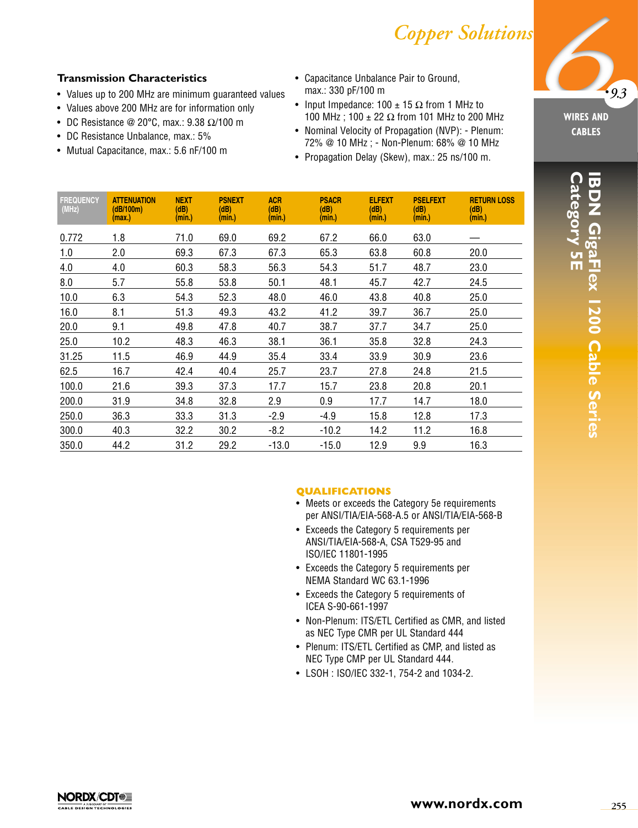# *Copper Solutions*

# **Transmission Characteristics**

- Values up to 200 MHz are minimum guaranteed values
- Values above 200 MHz are for information only
- DC Resistance @ 20°C, max.:  $9.38 \Omega/100$  m
- DC Resistance Unbalance, max.: 5%
- Mutual Capacitance, max.: 5.6 nF/100 m
- Capacitance Unbalance Pair to Ground, max.: 330 pF/100 m
- Input Impedance: 100  $\pm$  15  $\Omega$  from 1 MHz to 100 MHz; 100 ± 22 Ω from 101 MHz to 200 MHz
- Nominal Velocity of Propagation (NVP): Plenum: 72% @ 10 MHz ; - Non-Plenum: 68% @ 10 MHz
- Propagation Delay (Skew), max.: 25 ns/100 m.

| <b>FREQUENCY</b><br>(MHz) | <b>ATTENUATION</b><br>(dB/100m)<br>(max.) | <b>NEXT</b><br>(dB)<br>(min.) | <b>PSNEXT</b><br>(dB)<br>(min.) | <b>ACR</b><br>(dB)<br>(min.) | <b>PSACR</b><br>(dB)<br>(min.) | <b>ELFEXT</b><br>(dB)<br>(min.) | <b>PSELFEXT</b><br>(dB)<br>(min.) | <b>RETURN LOSS</b><br>(dB)<br>(min.) |
|---------------------------|-------------------------------------------|-------------------------------|---------------------------------|------------------------------|--------------------------------|---------------------------------|-----------------------------------|--------------------------------------|
| 0.772                     | 1.8                                       | 71.0                          | 69.0                            | 69.2                         | 67.2                           | 66.0                            | 63.0                              |                                      |
| 1.0                       | 2.0                                       | 69.3                          | 67.3                            | 67.3                         | 65.3                           | 63.8                            | 60.8                              | 20.0                                 |
| 4.0                       | 4.0                                       | 60.3                          | 58.3                            | 56.3                         | 54.3                           | 51.7                            | 48.7                              | 23.0                                 |
| 8.0                       | 5.7                                       | 55.8                          | 53.8                            | 50.1                         | 48.1                           | 45.7                            | 42.7                              | 24.5                                 |
| 10.0                      | 6.3                                       | 54.3                          | 52.3                            | 48.0                         | 46.0                           | 43.8                            | 40.8                              | 25.0                                 |
| 16.0                      | 8.1                                       | 51.3                          | 49.3                            | 43.2                         | 41.2                           | 39.7                            | 36.7                              | 25.0                                 |
| 20.0                      | 9.1                                       | 49.8                          | 47.8                            | 40.7                         | 38.7                           | 37.7                            | 34.7                              | 25.0                                 |
| 25.0                      | 10.2                                      | 48.3                          | 46.3                            | 38.1                         | 36.1                           | 35.8                            | 32.8                              | 24.3                                 |
| 31.25                     | 11.5                                      | 46.9                          | 44.9                            | 35.4                         | 33.4                           | 33.9                            | 30.9                              | 23.6                                 |
| 62.5                      | 16.7                                      | 42.4                          | 40.4                            | 25.7                         | 23.7                           | 27.8                            | 24.8                              | 21.5                                 |
| 100.0                     | 21.6                                      | 39.3                          | 37.3                            | 17.7                         | 15.7                           | 23.8                            | 20.8                              | 20.1                                 |
| 200.0                     | 31.9                                      | 34.8                          | 32.8                            | 2.9                          | 0.9                            | 17.7                            | 14.7                              | 18.0                                 |
| 250.0                     | 36.3                                      | 33.3                          | 31.3                            | $-2.9$                       | $-4.9$                         | 15.8                            | 12.8                              | 17.3                                 |
| 300.0                     | 40.3                                      | 32.2                          | 30.2                            | $-8.2$                       | $-10.2$                        | 14.2                            | 11.2                              | 16.8                                 |
| 350.0                     | 44.2                                      | 31.2                          | 29.2                            | $-13.0$                      | $-15.0$                        | 12.9                            | 9.9                               | 16.3                                 |

**•***9.3*

**WIRES AND CABLES**

#### **QUALIFICATIONS**

- Meets or exceeds the Category 5e requirements per ANSI/TIA/EIA-568-A.5 or ANSI/TIA/EIA-568-B
- Exceeds the Category 5 requirements per ANSI/TIA/EIA-568-A, CSA T529-95 and ISO/IEC 11801-1995
- Exceeds the Category 5 requirements per NEMA Standard WC 63.1-1996
- Exceeds the Category 5 requirements of ICEA S-90-661-1997
- Non-Plenum: ITS/ETL Certified as CMR, and listed as NEC Type CMR per UL Standard 444
- Plenum: ITS/ETL Certified as CMP, and listed as NEC Type CMP per UL Standard 444.
- LSOH : ISO/IEC 332-1, 754-2 and 1034-2.